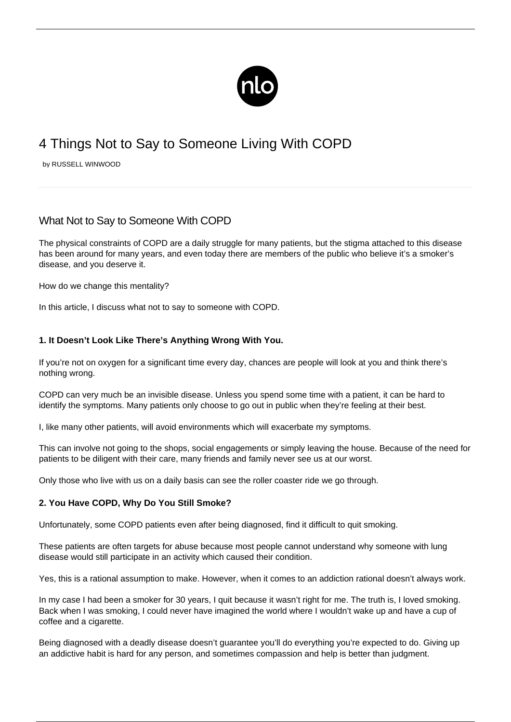

# 4 Things Not to Say to Someone Living With COPD

by RUSSELL WINWOOD

# What Not to Say to Someone With COPD

The physical constraints of COPD are a daily struggle for many patients, but the stigma attached to this disease has been around for many years, and even today there are members of the public who believe it's a smoker's disease, and you deserve it.

How do we change this mentality?

In this article, I discuss what not to say to someone with COPD.

### **1. It Doesn't Look Like There's Anything Wrong With You.**

If you're not on oxygen for a significant time every day, chances are people will look at you and think there's nothing wrong.

COPD can very much be an invisible disease. Unless you spend some time with a patient, it can be hard to identify the symptoms. Many patients only choose to go out in public when they're feeling at their best.

I, like many other patients, will avoid environments which will [exacerbate my symptoms.](/copd-symptoms/)

This can involve not going to the shops, social engagements or simply leaving the house. Because of the need for patients to be diligent with their care, many friends and family never see us at our worst.

Only those who live with us on a daily basis can see the roller coaster ride we go through.

#### **2. You Have COPD, Why Do You Still Smoke?**

Unfortunately, some COPD patients even after being diagnosed, [find it difficult to quit smoking](/importance-of-smoking-cessation-and-copd/).

These patients are often targets for abuse because most people cannot understand why someone with lung disease would still participate in an activity which caused their condition.

Yes, this is a rational assumption to make. However, when it comes to an addiction rational doesn't always work.

In my case I had been a smoker for 30 years, I quit because it wasn't right for me. The truth is, I loved smoking. Back when I was smoking, I could never have imagined the world where I wouldn't wake up and have a cup of coffee and a cigarette.

Being diagnosed with a deadly disease doesn't guarantee you'll do everything you're expected to do. Giving up an addictive habit is hard for any person, and sometimes compassion and help is better than judgment.